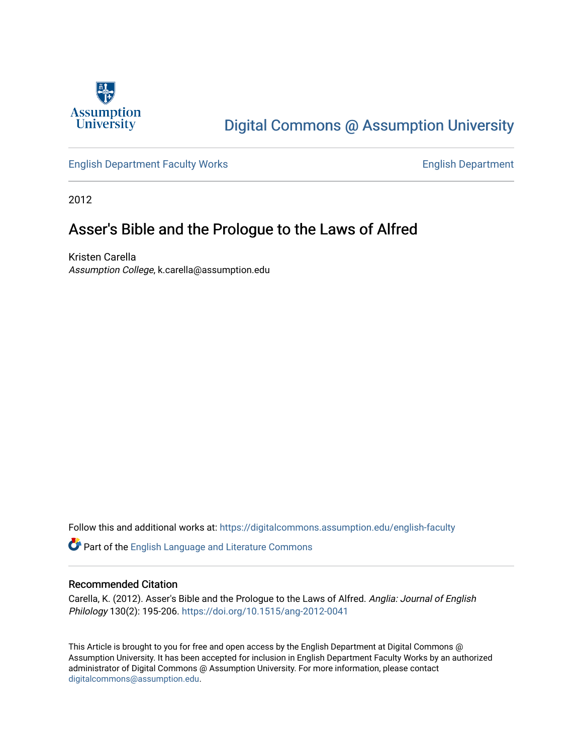

# [Digital Commons @ Assumption University](https://digitalcommons.assumption.edu/)

[English Department Faculty Works](https://digitalcommons.assumption.edu/english-faculty) **English Department** 

2012

# Asser's Bible and the Prologue to the Laws of Alfred

Kristen Carella Assumption College, k.carella@assumption.edu

Follow this and additional works at: [https://digitalcommons.assumption.edu/english-faculty](https://digitalcommons.assumption.edu/english-faculty?utm_source=digitalcommons.assumption.edu%2Fenglish-faculty%2F10&utm_medium=PDF&utm_campaign=PDFCoverPages) 

Part of the [English Language and Literature Commons](http://network.bepress.com/hgg/discipline/455?utm_source=digitalcommons.assumption.edu%2Fenglish-faculty%2F10&utm_medium=PDF&utm_campaign=PDFCoverPages)

# Recommended Citation

Carella, K. (2012). Asser's Bible and the Prologue to the Laws of Alfred. Anglia: Journal of English Philology 130(2): 195-206.<https://doi.org/10.1515/ang-2012-0041>

This Article is brought to you for free and open access by the English Department at Digital Commons @ Assumption University. It has been accepted for inclusion in English Department Faculty Works by an authorized administrator of Digital Commons @ Assumption University. For more information, please contact [digitalcommons@assumption.edu](mailto:digitalcommons@assumption.edu).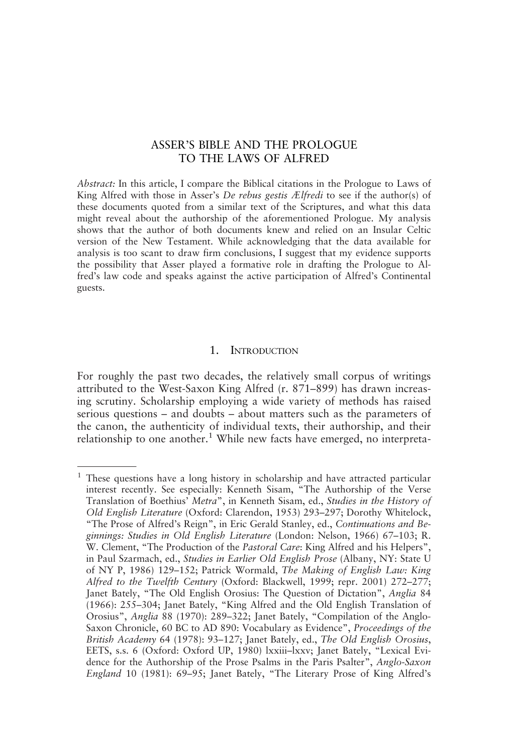# ASSER'S BIBLE AND THE PROLOGUE TO THE LAWS OF ALFRED

Abstract: In this article, I compare the Biblical citations in the Prologue to Laws of King Alfred with those in Asser's De rebus gestis Ælfredi to see if the author(s) of these documents quoted from a similar text of the Scriptures, and what this data might reveal about the authorship of the aforementioned Prologue. My analysis shows that the author of both documents knew and relied on an Insular Celtic version of the New Testament. While acknowledging that the data available for analysis is too scant to draw firm conclusions, I suggest that my evidence supports the possibility that Asser played a formative role in drafting the Prologue to Alfred's law code and speaks against the active participation of Alfred's Continental guests.

#### 1. INTRODUCTION

For roughly the past two decades, the relatively small corpus of writings attributed to the West-Saxon King Alfred (r. 871–899) has drawn increasing scrutiny. Scholarship employing a wide variety of methods has raised serious questions – and doubts – about matters such as the parameters of the canon, the authenticity of individual texts, their authorship, and their relationship to one another.<sup>1</sup> While new facts have emerged, no interpreta-

 $1$  These questions have a long history in scholarship and have attracted particular interest recently. See especially: Kenneth Sisam, "The Authorship of the Verse Translation of Boethius' Metra", in Kenneth Sisam, ed., Studies in the History of Old English Literature (Oxford: Clarendon, 1953) 293–297; Dorothy Whitelock, "The Prose of Alfred's Reign", in Eric Gerald Stanley, ed., Continuations and Beginnings: Studies in Old English Literature (London: Nelson, 1966) 67–103; R. W. Clement, "The Production of the Pastoral Care: King Alfred and his Helpers", in Paul Szarmach, ed., Studies in Earlier Old English Prose (Albany, NY: State U of NY P, 1986) 129–152; Patrick Wormald, The Making of English Law: King Alfred to the Twelfth Century (Oxford: Blackwell, 1999; repr. 2001) 272–277; Janet Bately, "The Old English Orosius: The Question of Dictation", Anglia 84 (1966): 255–304; Janet Bately, "King Alfred and the Old English Translation of Orosius", Anglia 88 (1970): 289–322; Janet Bately, "Compilation of the Anglo-Saxon Chronicle, 60 BC to AD 890: Vocabulary as Evidence", Proceedings of the British Academy 64 (1978): 93–127; Janet Bately, ed., The Old English Orosius, EETS, s.s. 6 (Oxford: Oxford UP, 1980) lxxiii–lxxv; Janet Bately, "Lexical Evidence for the Authorship of the Prose Psalms in the Paris Psalter", Anglo-Saxon England 10 (1981): 69–95; Janet Bately, "The Literary Prose of King Alfred's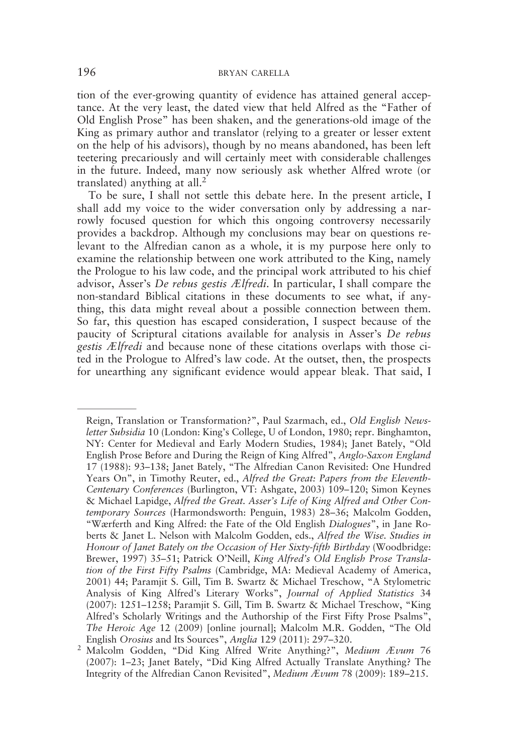tion of the ever-growing quantity of evidence has attained general acceptance. At the very least, the dated view that held Alfred as the "Father of Old English Prose" has been shaken, and the generations-old image of the King as primary author and translator (relying to a greater or lesser extent on the help of his advisors), though by no means abandoned, has been left teetering precariously and will certainly meet with considerable challenges in the future. Indeed, many now seriously ask whether Alfred wrote (or translated) anything at all. $2^{\degree}$ 

To be sure, I shall not settle this debate here. In the present article, I shall add my voice to the wider conversation only by addressing a narrowly focused question for which this ongoing controversy necessarily provides a backdrop. Although my conclusions may bear on questions relevant to the Alfredian canon as a whole, it is my purpose here only to examine the relationship between one work attributed to the King, namely the Prologue to his law code, and the principal work attributed to his chief advisor, Asser's De rebus gestis Ælfredi. In particular, I shall compare the non-standard Biblical citations in these documents to see what, if anything, this data might reveal about a possible connection between them. So far, this question has escaped consideration, I suspect because of the paucity of Scriptural citations available for analysis in Asser's De rebus gestis Ælfredi and because none of these citations overlaps with those cited in the Prologue to Alfred's law code. At the outset, then, the prospects for unearthing any significant evidence would appear bleak. That said, I

Reign, Translation or Transformation?", Paul Szarmach, ed., Old English Newsletter Subsidia 10 (London: King's College, U of London, 1980; repr. Binghamton, NY: Center for Medieval and Early Modern Studies, 1984); Janet Bately, "Old English Prose Before and During the Reign of King Alfred", Anglo-Saxon England 17 (1988): 93–138; Janet Bately, "The Alfredian Canon Revisited: One Hundred Years On", in Timothy Reuter, ed., Alfred the Great: Papers from the Eleventh-Centenary Conferences (Burlington, VT: Ashgate, 2003) 109–120; Simon Keynes & Michael Lapidge, Alfred the Great. Asser's Life of King Alfred and Other Contemporary Sources (Harmondsworth: Penguin, 1983) 28-36; Malcolm Godden, "Wærferth and King Alfred: the Fate of the Old English Dialogues", in Jane Roberts & Janet L. Nelson with Malcolm Godden, eds., Alfred the Wise. Studies in Honour of Janet Bately on the Occasion of Her Sixty-fifth Birthday (Woodbridge: Brewer, 1997) 35–51; Patrick O'Neill, King Alfred's Old English Prose Translation of the First Fifty Psalms (Cambridge, MA: Medieval Academy of America, 2001) 44; Paramjit S. Gill, Tim B. Swartz & Michael Treschow, "A Stylometric Analysis of King Alfred's Literary Works", Journal of Applied Statistics 34 (2007): 1251–1258; Paramjit S. Gill, Tim B. Swartz & Michael Treschow, "King Alfred's Scholarly Writings and the Authorship of the First Fifty Prose Psalms", The Heroic Age 12 (2009) [online journal]; Malcolm M.R. Godden, "The Old English Orosius and Its Sources", Anglia 129 (2011): 297–320.

<sup>&</sup>lt;sup>2</sup> Malcolm Godden, "Did King Alfred Write Anything?", Medium Ævum 76 (2007): 1–23; Janet Bately, "Did King Alfred Actually Translate Anything? The Integrity of the Alfredian Canon Revisited", Medium Ævum 78 (2009): 189–215.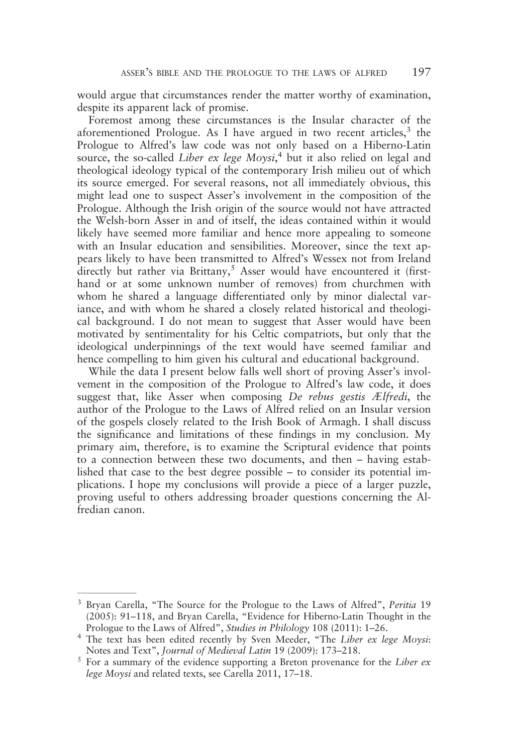would argue that circumstances render the matter worthy of examination, despite its apparent lack of promise.

Foremost among these circumstances is the Insular character of the aforementioned Prologue. As I have argued in two recent articles,  $3$  the Prologue to Alfred's law code was not only based on a Hiberno-Latin source, the so-called Liber ex lege Moysi,<sup>4</sup> but it also relied on legal and theological ideology typical of the contemporary Irish milieu out of which its source emerged. For several reasons, not all immediately obvious, this might lead one to suspect Asser's involvement in the composition of the Prologue. Although the Irish origin of the source would not have attracted the Welsh-born Asser in and of itself, the ideas contained within it would likely have seemed more familiar and hence more appealing to someone with an Insular education and sensibilities. Moreover, since the text appears likely to have been transmitted to Alfred's Wessex not from Ireland directly but rather via Brittany,<sup>5</sup> Asser would have encountered it (firsthand or at some unknown number of removes) from churchmen with whom he shared a language differentiated only by minor dialectal variance, and with whom he shared a closely related historical and theological background. I do not mean to suggest that Asser would have been motivated by sentimentality for his Celtic compatriots, but only that the ideological underpinnings of the text would have seemed familiar and hence compelling to him given his cultural and educational background.

While the data I present below falls well short of proving Asser's involvement in the composition of the Prologue to Alfred's law code, it does suggest that, like Asser when composing De rebus gestis Ælfredi, the author of the Prologue to the Laws of Alfred relied on an Insular version of the gospels closely related to the Irish Book of Armagh. I shall discuss the significance and limitations of these findings in my conclusion. My primary aim, therefore, is to examine the Scriptural evidence that points to a connection between these two documents, and then – having established that case to the best degree possible – to consider its potential implications. I hope my conclusions will provide a piece of a larger puzzle, proving useful to others addressing broader questions concerning the Alfredian canon.

<sup>&</sup>lt;sup>3</sup> Bryan Carella, "The Source for the Prologue to the Laws of Alfred", Peritia 19 (2005): 91–118, and Bryan Carella, "Evidence for Hiberno-Latin Thought in the Prologue to the Laws of Alfred", Studies in Philology 108 (2011): 1–26.

<sup>&</sup>lt;sup>4</sup> The text has been edited recently by Sven Meeder, "The Liber ex lege Moysi: Notes and Text", Journal of Medieval Latin 19 (2009): 173–218.

 $5$  For a summary of the evidence supporting a Breton provenance for the Liber ex lege Moysi and related texts, see Carella 2011, 17–18.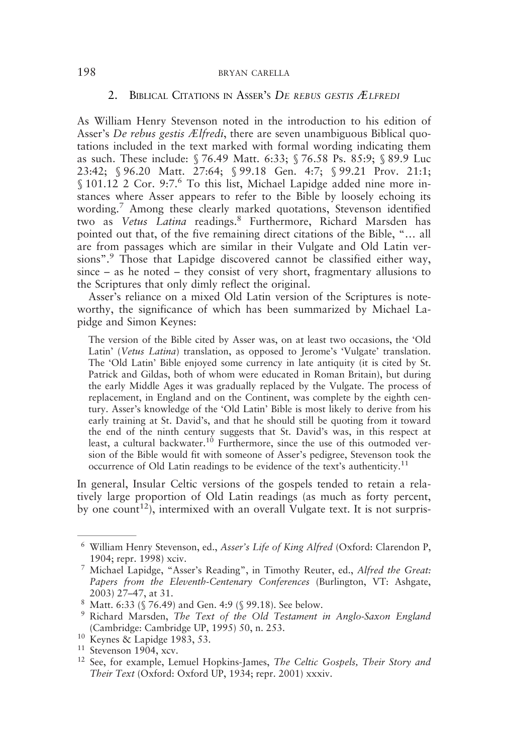#### 2. BIBLICAL CITATIONS IN ASSER'S DE REBUS GESTIS ÆLFREDI

As William Henry Stevenson noted in the introduction to his edition of Asser's De rebus gestis Ælfredi, there are seven unambiguous Biblical quotations included in the text marked with formal wording indicating them as such. These include: § 76.49 Matt. 6:33; § 76.58 Ps. 85:9; § 89.9 Luc 23:42; § 96.20 Matt. 27:64; § 99.18 Gen. 4:7; § 99.21 Prov. 21:1; § 101.12 2 Cor. 9:7.<sup>6</sup> To this list, Michael Lapidge added nine more instances where Asser appears to refer to the Bible by loosely echoing its wording.<sup>7</sup> Among these clearly marked quotations, Stevenson identified two as Vetus Latina readings.<sup>8</sup> Furthermore, Richard Marsden has pointed out that, of the five remaining direct citations of the Bible, "… all are from passages which are similar in their Vulgate and Old Latin versions".<sup>9</sup> Those that Lapidge discovered cannot be classified either way, since – as he noted – they consist of very short, fragmentary allusions to the Scriptures that only dimly reflect the original.

Asser's reliance on a mixed Old Latin version of the Scriptures is noteworthy, the significance of which has been summarized by Michael Lapidge and Simon Keynes:

The version of the Bible cited by Asser was, on at least two occasions, the 'Old Latin' (Vetus Latina) translation, as opposed to Jerome's 'Vulgate' translation. The 'Old Latin' Bible enjoyed some currency in late antiquity (it is cited by St. Patrick and Gildas, both of whom were educated in Roman Britain), but during the early Middle Ages it was gradually replaced by the Vulgate. The process of replacement, in England and on the Continent, was complete by the eighth century. Asser's knowledge of the 'Old Latin' Bible is most likely to derive from his early training at St. David's, and that he should still be quoting from it toward the end of the ninth century suggests that St. David's was, in this respect at least, a cultural backwater.<sup>10</sup> Furthermore, since the use of this outmoded version of the Bible would fit with someone of Asser's pedigree, Stevenson took the occurrence of Old Latin readings to be evidence of the text's authenticity.<sup>11</sup>

In general, Insular Celtic versions of the gospels tended to retain a relatively large proportion of Old Latin readings (as much as forty percent, by one count<sup>12</sup>), intermixed with an overall Vulgate text. It is not surpris-

<sup>6</sup> William Henry Stevenson, ed., Asser's Life of King Alfred (Oxford: Clarendon P, 1904; repr. 1998) xciv.

<sup>7</sup> Michael Lapidge, "Asser's Reading", in Timothy Reuter, ed., Alfred the Great: Papers from the Eleventh-Centenary Conferences (Burlington, VT: Ashgate, 2003) 27–47, at 31.

<sup>8</sup> Matt. 6:33 (§ 76.49) and Gen. 4:9 (§ 99.18). See below.

<sup>9</sup> Richard Marsden, The Text of the Old Testament in Anglo-Saxon England (Cambridge: Cambridge UP, 1995) 50, n. 253.

<sup>10</sup> Keynes & Lapidge 1983, 53.

<sup>11</sup> Stevenson 1904, xcv.

<sup>&</sup>lt;sup>12</sup> See, for example, Lemuel Hopkins-James, The Celtic Gospels, Their Story and Their Text (Oxford: Oxford UP, 1934; repr. 2001) xxxiv.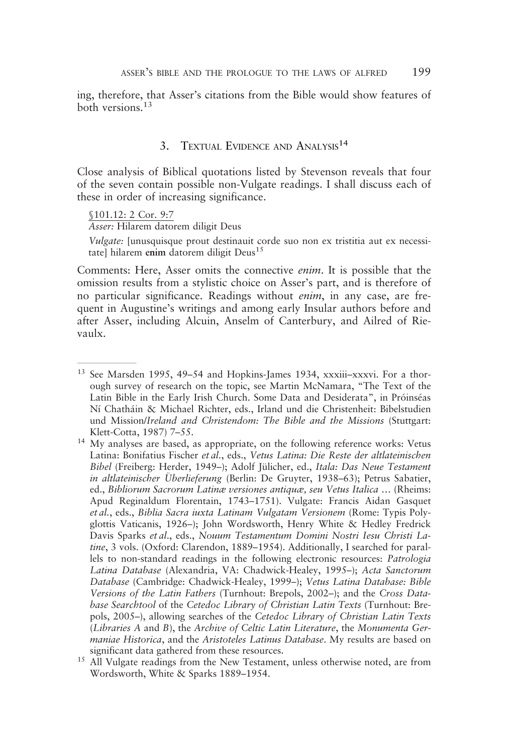ing, therefore, that Asser's citations from the Bible would show features of both versions.<sup>13</sup>

### 3. TEXTUAL EVIDENCE AND ANALYSIS<sup>14</sup>

Close analysis of Biblical quotations listed by Stevenson reveals that four of the seven contain possible non-Vulgate readings. I shall discuss each of these in order of increasing significance.

§101.12: 2 Cor. 9:7

Asser: Hilarem datorem diligit Deus

Vulgate: [unusquisque prout destinauit corde suo non ex tristitia aut ex necessitate] hilarem enim datorem diligit Deus<sup>15</sup>

Comments: Here, Asser omits the connective enim. It is possible that the omission results from a stylistic choice on Asser's part, and is therefore of no particular significance. Readings without enim, in any case, are frequent in Augustine's writings and among early Insular authors before and after Asser, including Alcuin, Anselm of Canterbury, and Ailred of Rievaulx.

<sup>&</sup>lt;sup>13</sup> See Marsden 1995, 49-54 and Hopkins-James 1934, xxxiii-xxxvi. For a thorough survey of research on the topic, see Martin McNamara, "The Text of the Latin Bible in the Early Irish Church. Some Data and Desiderata", in Próinséas Ní Chatháin & Michael Richter, eds., Irland und die Christenheit: Bibelstudien und Mission/Ireland and Christendom: The Bible and the Missions (Stuttgart: Klett-Cotta, 1987) 7–55.

<sup>14</sup> My analyses are based, as appropriate, on the following reference works: Vetus Latina: Bonifatius Fischer et al., eds., Vetus Latina: Die Reste der altlateinischen Bibel (Freiberg: Herder, 1949–); Adolf Jülicher, ed., Itala: Das Neue Testament in altlateinischer Überlieferung (Berlin: De Gruyter, 1938–63); Petrus Sabatier, ed., Bibliorum Sacrorum Latinæ versiones antiquæ, seu Vetus Italica … (Rheims: Apud Reginaldum Florentain, 1743–1751). Vulgate: Francis Aidan Gasquet et al., eds., Biblia Sacra iuxta Latinam Vulgatam Versionem (Rome: Typis Polyglottis Vaticanis, 1926–); John Wordsworth, Henry White & Hedley Fredrick Davis Sparks et al., eds., Nouum Testamentum Domini Nostri Iesu Christi Latine, 3 vols. (Oxford: Clarendon, 1889-1954). Additionally, I searched for parallels to non-standard readings in the following electronic resources: Patrologia Latina Database (Alexandria, VA: Chadwick-Healey, 1995–); Acta Sanctorum Database (Cambridge: Chadwick-Healey, 1999–); Vetus Latina Database: Bible Versions of the Latin Fathers (Turnhout: Brepols, 2002–); and the Cross Database Searchtool of the Cetedoc Library of Christian Latin Texts (Turnhout: Brepols, 2005–), allowing searches of the Cetedoc Library of Christian Latin Texts (Libraries A and B), the Archive of Celtic Latin Literature, the Monumenta Germaniae Historica, and the Aristoteles Latinus Database. My results are based on significant data gathered from these resources.

<sup>&</sup>lt;sup>15</sup> All Vulgate readings from the New Testament, unless otherwise noted, are from Wordsworth, White & Sparks 1889–1954.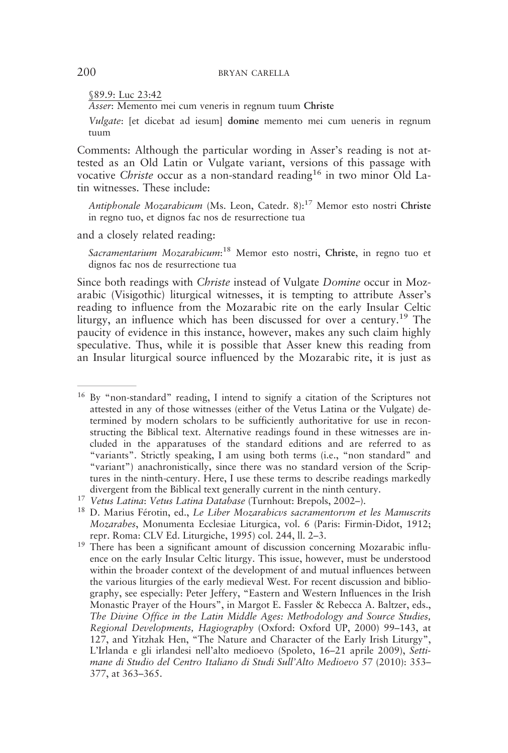§89.9: Luc 23:42

Asser: Memento mei cum veneris in regnum tuum Christe

Vulgate: [et dicebat ad iesum] domine memento mei cum ueneris in regnum tuum

Comments: Although the particular wording in Asser's reading is not attested as an Old Latin or Vulgate variant, versions of this passage with vocative Christe occur as a non-standard reading<sup>16</sup> in two minor Old Latin witnesses. These include:

Antiphonale Mozarabicum (Ms. Leon, Catedr. 8):<sup>17</sup> Memor esto nostri Christe in regno tuo, et dignos fac nos de resurrectione tua

and a closely related reading:

Sacramentarium Mozarabicum:<sup>18</sup> Memor esto nostri, Christe, in regno tuo et dignos fac nos de resurrectione tua

Since both readings with Christe instead of Vulgate Domine occur in Mozarabic (Visigothic) liturgical witnesses, it is tempting to attribute Asser's reading to influence from the Mozarabic rite on the early Insular Celtic liturgy, an influence which has been discussed for over a century.<sup>19</sup> The paucity of evidence in this instance, however, makes any such claim highly speculative. Thus, while it is possible that Asser knew this reading from an Insular liturgical source influenced by the Mozarabic rite, it is just as

<sup>16</sup> By "non-standard" reading, I intend to signify a citation of the Scriptures not attested in any of those witnesses (either of the Vetus Latina or the Vulgate) determined by modern scholars to be sufficiently authoritative for use in reconstructing the Biblical text. Alternative readings found in these witnesses are included in the apparatuses of the standard editions and are referred to as "variants". Strictly speaking, I am using both terms (i.e., "non standard" and "variant") anachronistically, since there was no standard version of the Scriptures in the ninth-century. Here, I use these terms to describe readings markedly divergent from the Biblical text generally current in the ninth century.

<sup>17</sup> Vetus Latina: Vetus Latina Database (Turnhout: Brepols, 2002–).

<sup>&</sup>lt;sup>18</sup> D. Marius Férotin, ed., Le Liber Mozarabicvs sacramentorvm et les Manuscrits Mozarabes, Monumenta Ecclesiae Liturgica, vol. 6 (Paris: Firmin-Didot, 1912; repr. Roma: CLV Ed. Liturgiche, 1995) col. 244, ll. 2–3.

<sup>&</sup>lt;sup>19</sup> There has been a significant amount of discussion concerning Mozarabic influence on the early Insular Celtic liturgy. This issue, however, must be understood within the broader context of the development of and mutual influences between the various liturgies of the early medieval West. For recent discussion and bibliography, see especially: Peter Jeffery, "Eastern and Western Influences in the Irish Monastic Prayer of the Hours", in Margot E. Fassler & Rebecca A. Baltzer, eds., The Divine Office in the Latin Middle Ages: Methodology and Source Studies, Regional Developments, Hagiography (Oxford: Oxford UP, 2000) 99–143, at 127, and Yitzhak Hen, "The Nature and Character of the Early Irish Liturgy", L'Irlanda e gli irlandesi nell'alto medioevo (Spoleto, 16–21 aprile 2009), Settimane di Studio del Centro Italiano di Studi Sull'Alto Medioevo 57 (2010): 353– 377, at 363–365.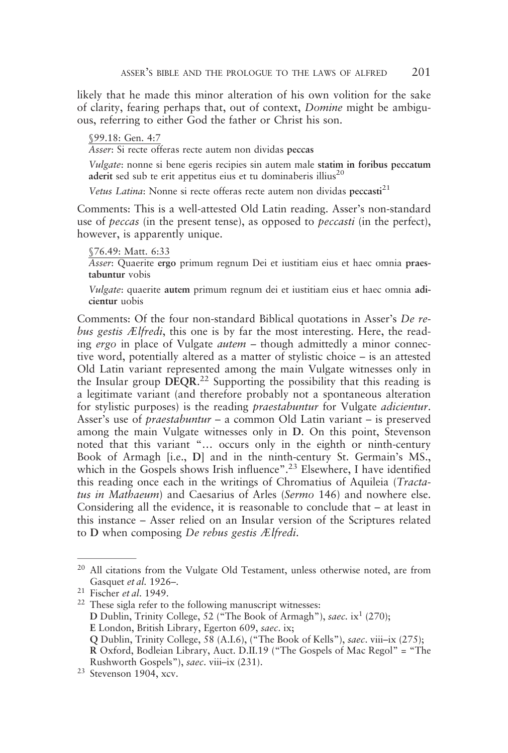likely that he made this minor alteration of his own volition for the sake of clarity, fearing perhaps that, out of context, Domine might be ambiguous, referring to either God the father or Christ his son.

#### §99.18: Gen. 4:7

Asser: Si recte offeras recte autem non dividas peccas

Vulgate: nonne si bene egeris recipies sin autem male statim in foribus peccatum aderit sed sub te erit appetitus eius et tu dominaberis illius<sup>20</sup>

Vetus Latina: Nonne si recte offeras recte autem non dividas peccasti<sup>21</sup>

Comments: This is a well-attested Old Latin reading. Asser's non-standard use of peccas (in the present tense), as opposed to peccasti (in the perfect), however, is apparently unique.

#### §76.49: Matt. 6:33

Asser: Quaerite ergo primum regnum Dei et iustitiam eius et haec omnia praestabuntur vobis

Vulgate: quaerite autem primum regnum dei et iustitiam eius et haec omnia adicientur uobis

Comments: Of the four non-standard Biblical quotations in Asser's De rebus gestis Ælfredi, this one is by far the most interesting. Here, the reading ergo in place of Vulgate autem – though admittedly a minor connective word, potentially altered as a matter of stylistic choice – is an attested Old Latin variant represented among the main Vulgate witnesses only in the Insular group DEQR.<sup>22</sup> Supporting the possibility that this reading is a legitimate variant (and therefore probably not a spontaneous alteration for stylistic purposes) is the reading praestabuntur for Vulgate adicientur. Asser's use of praestabuntur – a common Old Latin variant – is preserved among the main Vulgate witnesses only in D. On this point, Stevenson noted that this variant "… occurs only in the eighth or ninth-century Book of Armagh [i.e., D] and in the ninth-century St. Germain's MS., which in the Gospels shows Irish influence".<sup>23</sup> Elsewhere, I have identified this reading once each in the writings of Chromatius of Aquileia (Tractatus in Mathaeum) and Caesarius of Arles (Sermo 146) and nowhere else. Considering all the evidence, it is reasonable to conclude that – at least in this instance – Asser relied on an Insular version of the Scriptures related to D when composing De rebus gestis Ælfredi.

<sup>&</sup>lt;sup>20</sup> All citations from the Vulgate Old Testament, unless otherwise noted, are from Gasquet et al. 1926–.

 $21$  Fischer *et al.* 1949.

<sup>22</sup> These sigla refer to the following manuscript witnesses: D Dublin, Trinity College, 52 ("The Book of Armagh"), saec. ix<sup>1</sup> (270); E London, British Library, Egerton 609, saec. ix; Q Dublin, Trinity College, 58 (A.I.6), ("The Book of Kells"), saec. viii–ix (275); R Oxford, Bodleian Library, Auct. D.II.19 ("The Gospels of Mac Regol" = "The Rushworth Gospels"), saec. viii–ix (231).

<sup>23</sup> Stevenson 1904, xcv.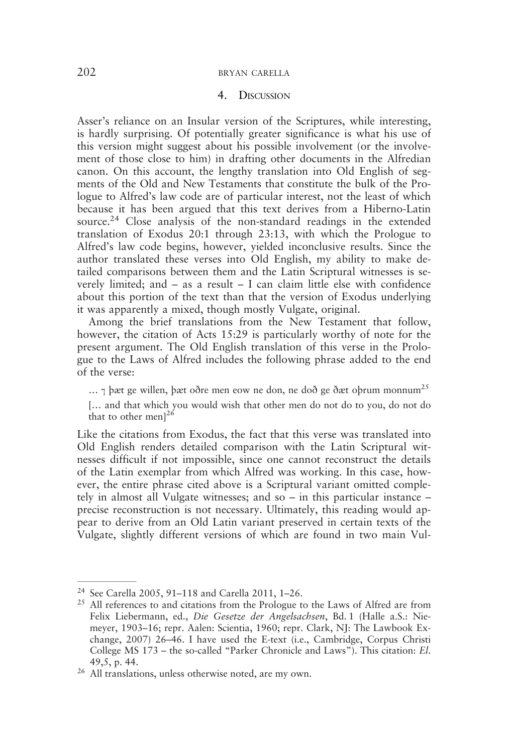#### 4. DISCUSSION

Asser's reliance on an Insular version of the Scriptures, while interesting, is hardly surprising. Of potentially greater significance is what his use of this version might suggest about his possible involvement (or the involvement of those close to him) in drafting other documents in the Alfredian canon. On this account, the lengthy translation into Old English of segments of the Old and New Testaments that constitute the bulk of the Prologue to Alfred's law code are of particular interest, not the least of which because it has been argued that this text derives from a Hiberno-Latin source.<sup>24</sup> Close analysis of the non-standard readings in the extended translation of Exodus 20:1 through 23:13, with which the Prologue to Alfred's law code begins, however, yielded inconclusive results. Since the author translated these verses into Old English, my ability to make detailed comparisons between them and the Latin Scriptural witnesses is severely limited; and – as a result – I can claim little else with confidence about this portion of the text than that the version of Exodus underlying it was apparently a mixed, though mostly Vulgate, original.

Among the brief translations from the New Testament that follow, however, the citation of Acts 15:29 is particularly worthy of note for the present argument. The Old English translation of this verse in the Prologue to the Laws of Alfred includes the following phrase added to the end of the verse:

... 7 þæt ge willen, þæt oðre men eow ne don, ne doð ge ðæt oþrum monnum<sup>25</sup>

[... and that which you would wish that other men do not do to you, do not do that to other men] $26$ 

Like the citations from Exodus, the fact that this verse was translated into Old English renders detailed comparison with the Latin Scriptural witnesses difficult if not impossible, since one cannot reconstruct the details of the Latin exemplar from which Alfred was working. In this case, however, the entire phrase cited above is a Scriptural variant omitted completely in almost all Vulgate witnesses; and so – in this particular instance – precise reconstruction is not necessary. Ultimately, this reading would appear to derive from an Old Latin variant preserved in certain texts of the Vulgate, slightly different versions of which are found in two main Vul-

<sup>24</sup> See Carella 2005, 91–118 and Carella 2011, 1–26.

<sup>&</sup>lt;sup>25</sup> All references to and citations from the Prologue to the Laws of Alfred are from Felix Liebermann, ed., Die Gesetze der Angelsachsen, Bd. 1 (Halle a.S.: Niemeyer, 1903–16; repr. Aalen: Scientia, 1960; repr. Clark, NJ: The Lawbook Exchange, 2007) 26–46. I have used the E-text (i.e., Cambridge, Corpus Christi College MS 173 – the so-called "Parker Chronicle and Laws"). This citation: El. 49,5, p. 44.

<sup>26</sup> All translations, unless otherwise noted, are my own.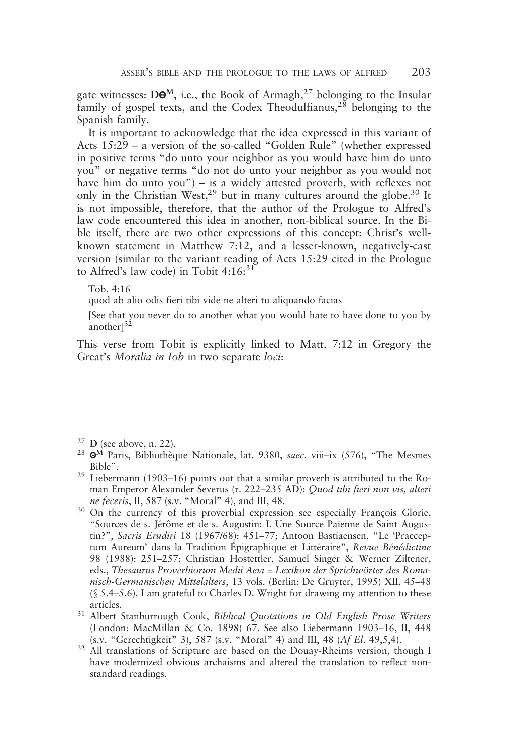gate witnesses: DO<sup>M</sup>, i.e., the Book of Armagh,<sup>27</sup> belonging to the Insular family of gospel texts, and the Codex Theodulfianus,<sup>28</sup> belonging to the Spanish family.

It is important to acknowledge that the idea expressed in this variant of Acts 15:29 – a version of the so-called "Golden Rule" (whether expressed in positive terms "do unto your neighbor as you would have him do unto you" or negative terms "do not do unto your neighbor as you would not have him do unto you") – is a widely attested proverb, with reflexes not only in the Christian West,  $29$  but in many cultures around the globe.<sup>30</sup> It is not impossible, therefore, that the author of the Prologue to Alfred's law code encountered this idea in another, non-biblical source. In the Bible itself, there are two other expressions of this concept: Christ's wellknown statement in Matthew 7:12, and a lesser-known, negatively-cast version (similar to the variant reading of Acts 15:29 cited in the Prologue to Alfred's law code) in Tobit  $4:16:^{31}$ 

#### Tob. 4:16

quod ab alio odis fieri tibi vide ne alteri tu aliquando facias

[See that you never do to another what you would hate to have done to you by another $1^{32}$ 

This verse from Tobit is explicitly linked to Matt. 7:12 in Gregory the Great's Moralia in Iob in two separate loci:

 $27$  D (see above, n. 22).

<sup>&</sup>lt;sup>28</sup> Θ<sup>M</sup> Paris, Bibliothèque Nationale, lat. 9380, saec. viii–ix (576), "The Mesmes Bible".

<sup>29</sup> Liebermann (1903–16) points out that a similar proverb is attributed to the Roman Emperor Alexander Severus (r. 222–235 AD): Quod tibi fieri non vis, alteri ne feceris, II, 587 (s.v. "Moral" 4), and III, 48.

<sup>&</sup>lt;sup>30</sup> On the currency of this proverbial expression see especially François Glorie, "Sources de s. Jérôme et de s. Augustin: I. Une Source Païenne de Saint Augustin?", Sacris Erudiri 18 (1967/68): 451–77; Antoon Bastiaensen, "Le 'Praeceptum Aureum' dans la Tradition Épigraphique et Littéraire", Revue Bénédictine 98 (1988): 251–257; Christian Hostettler, Samuel Singer & Werner Ziltener, eds., Thesaurus Proverbiorum Medii Aevi = Lexikon der Sprichwörter des Romanisch-Germanischen Mittelalters, 13 vols. (Berlin: De Gruyter, 1995) XII, 45–48 (§ 5.4–5.6). I am grateful to Charles D. Wright for drawing my attention to these articles.

<sup>&</sup>lt;sup>31</sup> Albert Stanburrough Cook, Biblical Quotations in Old English Prose Writers (London: MacMillan & Co. 1898) 67. See also Liebermann 1903–16, II, 448 (s.v. "Gerechtigkeit" 3), 587 (s.v. "Moral" 4) and III, 48 (Af El. 49,5,4).

<sup>&</sup>lt;sup>32</sup> All translations of Scripture are based on the Douay-Rheims version, though I have modernized obvious archaisms and altered the translation to reflect nonstandard readings.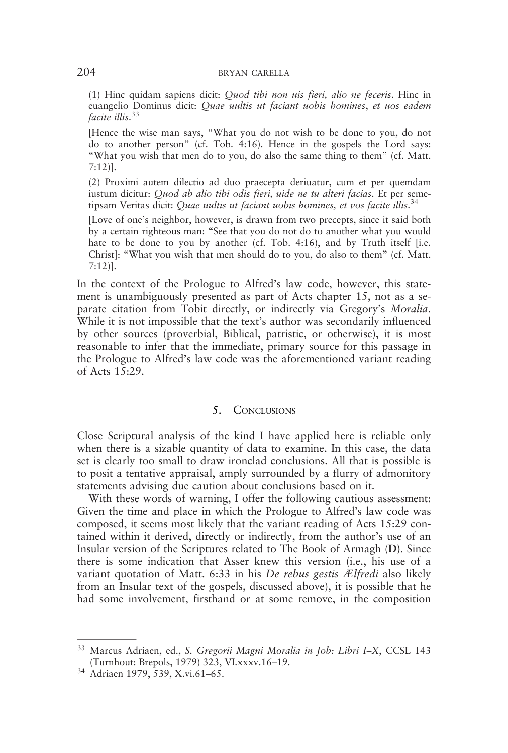(1) Hinc quidam sapiens dicit: Quod tibi non uis fieri, alio ne feceris. Hinc in euangelio Dominus dicit: Quae uultis ut faciant uobis homines, et uos eadem facite illis.<sup>33</sup>

[Hence the wise man says, "What you do not wish to be done to you, do not do to another person" (cf. Tob. 4:16). Hence in the gospels the Lord says: "What you wish that men do to you, do also the same thing to them" (cf. Matt. 7:12)].

(2) Proximi autem dilectio ad duo praecepta deriuatur, cum et per quemdam iustum dicitur: Quod ab alio tibi odis fieri, uide ne tu alteri facias. Et per semetipsam Veritas dicit: Quae uultis ut faciant uobis homines, et vos facite illis. 34

[Love of one's neighbor, however, is drawn from two precepts, since it said both by a certain righteous man: "See that you do not do to another what you would hate to be done to you by another (cf. Tob. 4:16), and by Truth itself [i.e. Christ]: "What you wish that men should do to you, do also to them" (cf. Matt. 7:12)].

In the context of the Prologue to Alfred's law code, however, this statement is unambiguously presented as part of Acts chapter 15, not as a separate citation from Tobit directly, or indirectly via Gregory's Moralia. While it is not impossible that the text's author was secondarily influenced by other sources (proverbial, Biblical, patristic, or otherwise), it is most reasonable to infer that the immediate, primary source for this passage in the Prologue to Alfred's law code was the aforementioned variant reading of Acts 15:29.

#### 5. CONCLUSIONS

Close Scriptural analysis of the kind I have applied here is reliable only when there is a sizable quantity of data to examine. In this case, the data set is clearly too small to draw ironclad conclusions. All that is possible is to posit a tentative appraisal, amply surrounded by a flurry of admonitory statements advising due caution about conclusions based on it.

With these words of warning, I offer the following cautious assessment: Given the time and place in which the Prologue to Alfred's law code was composed, it seems most likely that the variant reading of Acts 15:29 contained within it derived, directly or indirectly, from the author's use of an Insular version of the Scriptures related to The Book of Armagh (D). Since there is some indication that Asser knew this version (i.e., his use of a variant quotation of Matt. 6:33 in his De rebus gestis Ælfredi also likely from an Insular text of the gospels, discussed above), it is possible that he had some involvement, firsthand or at some remove, in the composition

<sup>&</sup>lt;sup>33</sup> Marcus Adriaen, ed., S. Gregorii Magni Moralia in Job: Libri I-X, CCSL 143 (Turnhout: Brepols, 1979) 323, VI.xxxv.16–19.

<sup>34</sup> Adriaen 1979, 539, X.vi.61–65.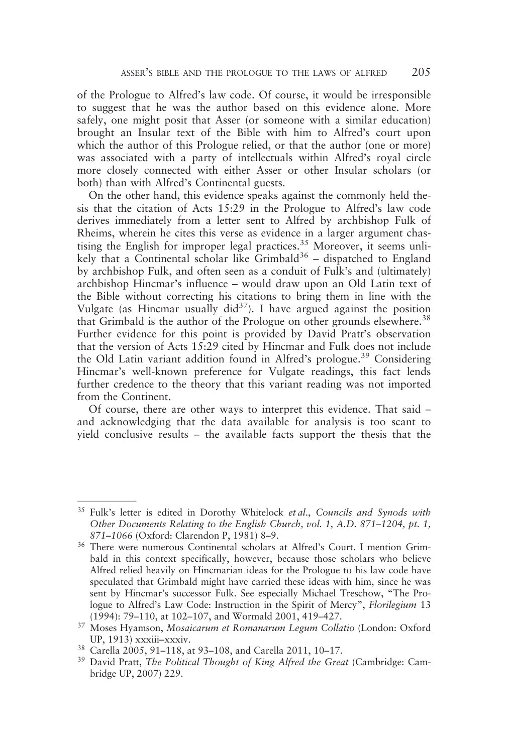of the Prologue to Alfred's law code. Of course, it would be irresponsible to suggest that he was the author based on this evidence alone. More safely, one might posit that Asser (or someone with a similar education) brought an Insular text of the Bible with him to Alfred's court upon which the author of this Prologue relied, or that the author (one or more) was associated with a party of intellectuals within Alfred's royal circle more closely connected with either Asser or other Insular scholars (or both) than with Alfred's Continental guests.

On the other hand, this evidence speaks against the commonly held thesis that the citation of Acts 15:29 in the Prologue to Alfred's law code derives immediately from a letter sent to Alfred by archbishop Fulk of Rheims, wherein he cites this verse as evidence in a larger argument chastising the English for improper legal practices.<sup>35</sup> Moreover, it seems unlikely that a Continental scholar like Grimbald<sup>36</sup> – dispatched to England by archbishop Fulk, and often seen as a conduit of Fulk's and (ultimately) archbishop Hincmar's influence – would draw upon an Old Latin text of the Bible without correcting his citations to bring them in line with the Vulgate (as Hincmar usually  $\text{did}^{37}$ ). I have argued against the position that Grimbald is the author of the Prologue on other grounds elsewhere.<sup>38</sup> Further evidence for this point is provided by David Pratt's observation that the version of Acts 15:29 cited by Hincmar and Fulk does not include the Old Latin variant addition found in Alfred's prologue.<sup>39</sup> Considering Hincmar's well-known preference for Vulgate readings, this fact lends further credence to the theory that this variant reading was not imported from the Continent.

Of course, there are other ways to interpret this evidence. That said – and acknowledging that the data available for analysis is too scant to yield conclusive results – the available facts support the thesis that the

 $35$  Fulk's letter is edited in Dorothy Whitelock et al., Councils and Synods with Other Documents Relating to the English Church, vol. 1, A.D. 871–1204, pt. 1, 871–1066 (Oxford: Clarendon P, 1981) 8–9.

<sup>36</sup> There were numerous Continental scholars at Alfred's Court. I mention Grimbald in this context specifically, however, because those scholars who believe Alfred relied heavily on Hincmarian ideas for the Prologue to his law code have speculated that Grimbald might have carried these ideas with him, since he was sent by Hincmar's successor Fulk. See especially Michael Treschow, "The Prologue to Alfred's Law Code: Instruction in the Spirit of Mercy", Florilegium 13 (1994): 79–110, at 102–107, and Wormald 2001, 419–427.

<sup>&</sup>lt;sup>37</sup> Moses Hyamson, Mosaicarum et Romanarum Legum Collatio (London: Oxford UP, 1913) xxxiii–xxxiv.

<sup>38</sup> Carella 2005, 91–118, at 93–108, and Carella 2011, 10–17.

<sup>&</sup>lt;sup>39</sup> David Pratt, The Political Thought of King Alfred the Great (Cambridge: Cambridge UP, 2007) 229.